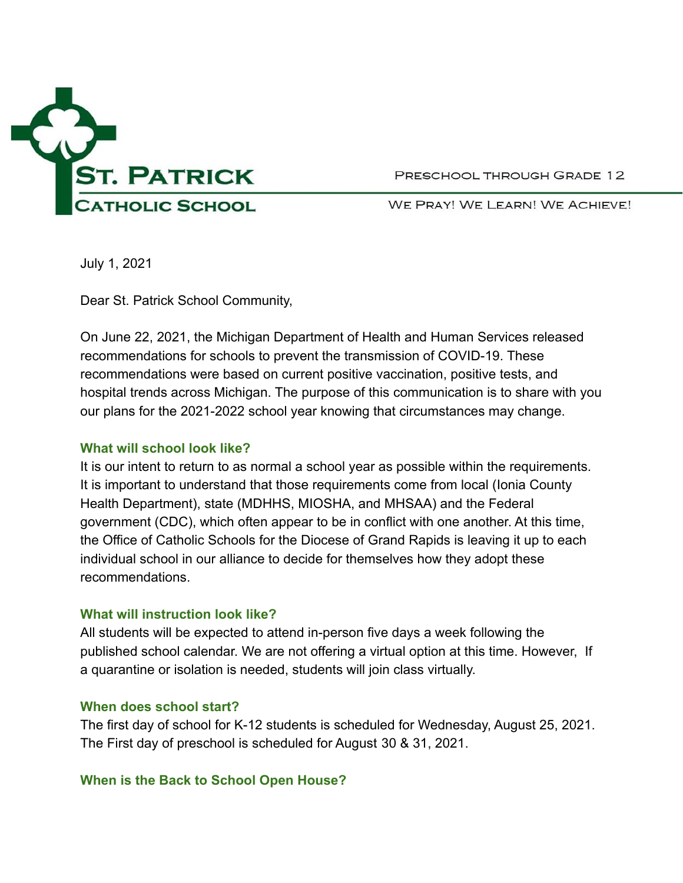

PRESCHOOL THROUGH GRADE 12

WE PRAY! WE LEARN! WE ACHIEVE!

July 1, 2021

Dear St. Patrick School Community,

On June 22, 2021, the Michigan Department of Health and Human Services released recommendations for schools to prevent the transmission of COVID-19. These recommendations were based on current positive vaccination, positive tests, and hospital trends across Michigan. The purpose of this communication is to share with you our plans for the 2021-2022 school year knowing that circumstances may change.

### **What will school look like?**

It is our intent to return to as normal a school year as possible within the requirements. It is important to understand that those requirements come from local (Ionia County Health Department), state (MDHHS, MIOSHA, and MHSAA) and the Federal government (CDC), which often appear to be in conflict with one another. At this time, the Office of Catholic Schools for the Diocese of Grand Rapids is leaving it up to each individual school in our alliance to decide for themselves how they adopt these recommendations.

### **What will instruction look like?**

All students will be expected to attend in-person five days a week following the published school calendar. We are not offering a virtual option at this time. However, If a quarantine or isolation is needed, students will join class virtually.

### **When does school start?**

The first day of school for K-12 students is scheduled for Wednesday, August 25, 2021. The First day of preschool is scheduled for August 30 & 31, 2021.

### **When is the Back to School Open House?**